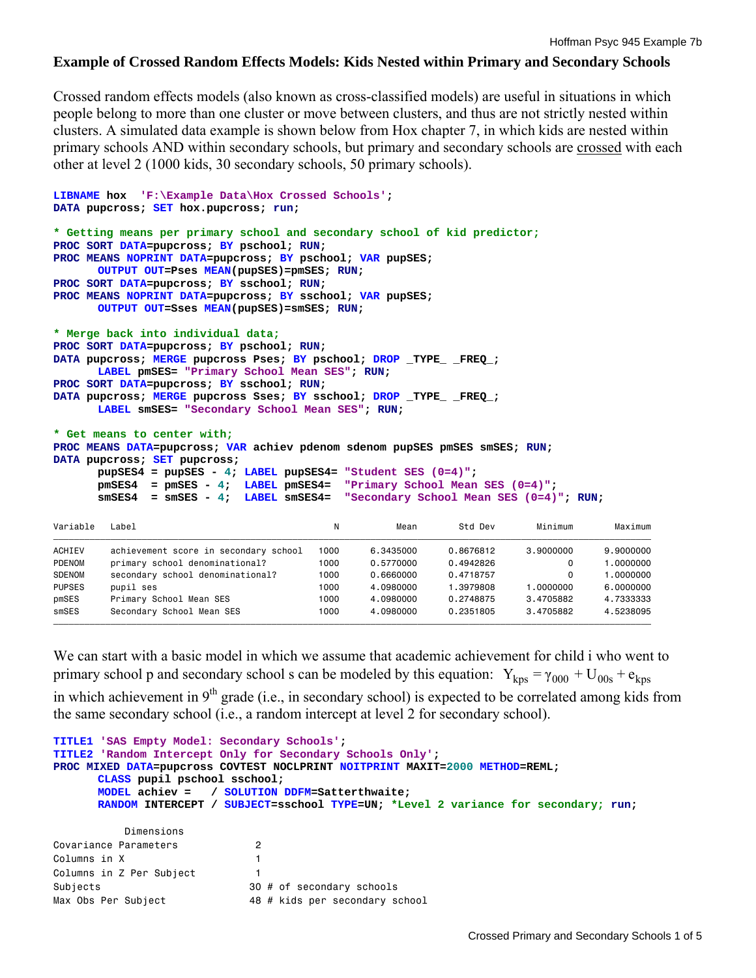## **Example of Crossed Random Effects Models: Kids Nested within Primary and Secondary Schools**

Crossed random effects models (also known as cross-classified models) are useful in situations in which people belong to more than one cluster or move between clusters, and thus are not strictly nested within clusters. A simulated data example is shown below from Hox chapter 7, in which kids are nested within primary schools AND within secondary schools, but primary and secondary schools are crossed with each other at level 2 (1000 kids, 30 secondary schools, 50 primary schools).

```
LIBNAME hox 'F:\Example Data\Hox Crossed Schools'; 
DATA pupcross; SET hox.pupcross; run; 
* Getting means per primary school and secondary school of kid predictor;
PROC SORT DATA=pupcross; BY pschool; RUN; 
PROC MEANS NOPRINT DATA=pupcross; BY pschool; VAR pupSES; 
      OUTPUT OUT=Pses MEAN(pupSES)=pmSES; RUN; 
PROC SORT DATA=pupcross; BY sschool; RUN; 
PROC MEANS NOPRINT DATA=pupcross; BY sschool; VAR pupSES; 
      OUTPUT OUT=Sses MEAN(pupSES)=smSES; RUN; 
* Merge back into individual data;
PROC SORT DATA=pupcross; BY pschool; RUN; 
DATA pupcross; MERGE pupcross Pses; BY pschool; DROP _TYPE_ _FREQ_; 
      LABEL pmSES= "Primary School Mean SES"; RUN; 
PROC SORT DATA=pupcross; BY sschool; RUN; 
DATA pupcross; MERGE pupcross Sses; BY sschool; DROP _TYPE_ _FREQ_; 
      LABEL smSES= "Secondary School Mean SES"; RUN; 
* Get means to center with;
PROC MEANS DATA=pupcross; VAR achiev pdenom sdenom pupSES pmSES smSES; RUN; 
DATA pupcross; SET pupcross; 
       pupSES4 = pupSES - 4; LABEL pupSES4= "Student SES (0=4)"; 
        pmSES4 = pmSES - 4; LABEL pmSES4= "Primary School Mean SES (0=4)"; 
        smSES4 = smSES - 4; LABEL smSES4= "Secondary School Mean SES (0=4)"; RUN; 
Variable Label                                 N     Mean     Std Dev     Minimum     Maximum
ƒƒƒƒƒƒƒƒƒƒƒƒƒƒƒƒƒƒƒƒƒƒƒƒƒƒƒƒƒƒƒƒƒƒƒƒƒƒƒƒƒƒƒƒƒƒƒƒƒƒƒƒƒƒƒƒƒƒƒƒƒƒƒƒƒƒƒƒƒƒƒƒƒƒƒƒƒƒƒƒƒƒƒƒƒƒƒƒƒƒƒƒƒƒƒƒƒƒƒƒƒƒƒƒƒƒƒƒƒƒƒƒƒƒƒ 
ACHIEV achievement score in secondary school 1000 6.3435000 0.8676812 3.9000000 9.9000000<br>PDENOM primary school denominational? 1000 0.5770000 0.4942826 0 1.0000000
PDENOM primary school denominational? 1000 0.5770000 0.4942826 0 1.000 0.4942826 0 1.000 0.4942826 0 1.000 0.4719757
SDENOM secondary school denominational? 1000 0.6660000 0.4718757 0 1.0000000 
PUPSES pupil ses 1000 4.0980000 1.3979808 1.0000000 6.0000000 
pmSES Primary School Mean SES 1000 4.0980000 0.2748875 3.4705882 4.7333333 
smSES Secondary School Mean SES 1000 4.0980000 0.2351805 3.4705882 4.5238095
```
We can start with a basic model in which we assume that academic achievement for child i who went to primary school p and secondary school s can be modeled by this equation:  $Y_{kps} = \gamma_{000} + U_{00s} + e_{kps}$ in which achievement in  $9<sup>th</sup>$  grade (i.e., in secondary school) is expected to be correlated among kids from the same secondary school (i.e., a random intercept at level 2 for secondary school).

ƒƒƒƒƒƒƒƒƒƒƒƒƒƒƒƒƒƒƒƒƒƒƒƒƒƒƒƒƒƒƒƒƒƒƒƒƒƒƒƒƒƒƒƒƒƒƒƒƒƒƒƒƒƒƒƒƒƒƒƒƒƒƒƒƒƒƒƒƒƒƒƒƒƒƒƒƒƒƒƒƒƒƒƒƒƒƒƒƒƒƒƒƒƒƒƒƒƒƒƒƒƒƒƒƒƒƒƒƒƒƒƒƒƒƒ

```
TITLE1 'SAS Empty Model: Secondary Schools'; 
TITLE2 'Random Intercept Only for Secondary Schools Only'; 
PROC MIXED DATA=pupcross COVTEST NOCLPRINT NOITPRINT MAXIT=2000 METHOD=REML; 
      CLASS pupil pschool sschool; 
     MODEL achiev = / SOLUTION DDFM=Satterthwaite; 
      RANDOM INTERCEPT / SUBJECT=sschool TYPE=UN; *Level 2 variance for secondary; run; 
          Dimensions 
Covariance Parameters 2 
Columns in X 1 
Columns in Z Per Subject 1 
Subjects 30 # of secondary schools 
Max Obs Per Subject 48 # kids per secondary school
```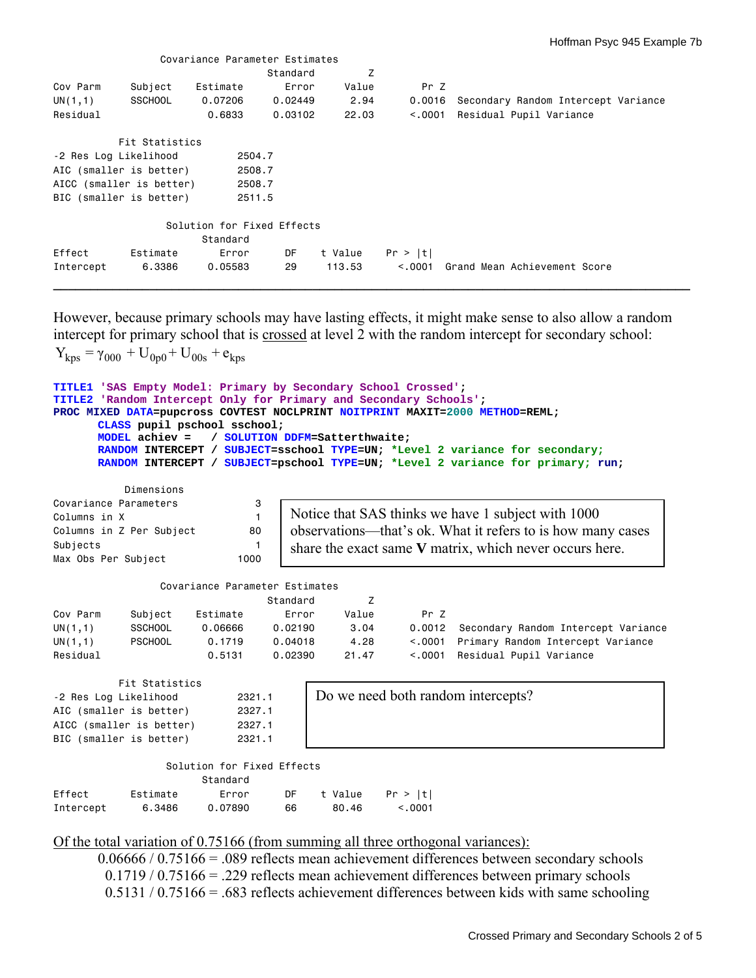|                       |                          | Covariance Parameter Estimates |          |         |          |                                     |
|-----------------------|--------------------------|--------------------------------|----------|---------|----------|-------------------------------------|
|                       |                          |                                | Standard | Z       |          |                                     |
| Cov Parm              | Subject                  | Estimate                       | Error    | Value   | Pr Z     |                                     |
| UN(1,1)               | <b>SSCHOOL</b>           | 0.07206                        | 0.02449  | 2.94    | 0.0016   | Secondary Random Intercept Variance |
| Residual              |                          | 0.6833                         | 0.03102  | 22.03   | < 0.0001 | Residual Pupil Variance             |
|                       | Fit Statistics           |                                |          |         |          |                                     |
| -2 Res Log Likelihood |                          | 2504.7                         |          |         |          |                                     |
|                       | AIC (smaller is better)  | 2508.7                         |          |         |          |                                     |
|                       | AICC (smaller is better) | 2508.7                         |          |         |          |                                     |
|                       | BIC (smaller is better)  | 2511.5                         |          |         |          |                                     |
|                       |                          | Solution for Fixed Effects     |          |         |          |                                     |
|                       |                          | Standard                       |          |         |          |                                     |
| Effect                | Estimate                 | Error                          | DF       | t Value | Pr >  t  |                                     |
| Intercept             | 6.3386                   | 0.05583                        | 29       | 113.53  | < 0.001  | Grand Mean Achievement Score        |
|                       |                          |                                |          |         |          |                                     |

However, because primary schools may have lasting effects, it might make sense to also allow a random intercept for primary school that is crossed at level 2 with the random intercept for secondary school:  $Y_{\text{kps}} = \gamma_{000} + U_{0p0} + U_{00s} + e_{\text{kps}}$ 

```
TITLE1 'SAS Empty Model: Primary by Secondary School Crossed'; 
TITLE2 'Random Intercept Only for Primary and Secondary Schools'; 
PROC MIXED DATA=pupcross COVTEST NOCLPRINT NOITPRINT MAXIT=2000 METHOD=REML; 
      CLASS pupil pschool sschool; 
      MODEL achiev = / SOLUTION DDFM=Satterthwaite; 
      RANDOM INTERCEPT / SUBJECT=sschool TYPE=UN; *Level 2 variance for secondary; 
      RANDOM INTERCEPT / SUBJECT=pschool TYPE=UN; *Level 2 variance for primary; run; 
          Dimensions 
Covariance Parameters 3 
Columns in X 1
Columns in Z Per Subject 80
Subjects 1
Max Obs Per Subject 1000
               Covariance Parameter Estimates 
                          Standard Z 
Cov Parm Subject Estimate Error Value Pr Z 
UN(1,1) SSCHOOL 0.06666 0.02190 3.04 0.0012 Secondary Random Intercept Variance 
UN(1,1) PSCHOOL 0.1719 0.04018 4.28 <.0001 Primary Random Intercept Variance 
Residual 0.5131 0.02390 21.47 <.0001 Residual Pupil Variance 
         Fit Statistics 
-2 Res Log Likelihood 2321.1 
AIC (smaller is better) 2327.1 
AICC (smaller is better) 2327.1 
BIC (smaller is better) 2321.1
                Solution for Fixed Effects 
                     Standard 
Effect Estimate Error DF t Value Pr > |t| 
Intercept 6.3486 0.07890 66 80.46 <.0001
                                Notice that SAS thinks we have 1 subject with 1000 
                                observations—that's ok. What it refers to is how many cases 
                                share the exact same V matrix, which never occurs here. 
                                    Do we need both random intercepts?
```
### Of the total variation of 0.75166 (from summing all three orthogonal variances):

0.06666 / 0.75166 = .089 reflects mean achievement differences between secondary schools 0.1719 / 0.75166 = .229 reflects mean achievement differences between primary schools 0.5131 / 0.75166 = .683 reflects achievement differences between kids with same schooling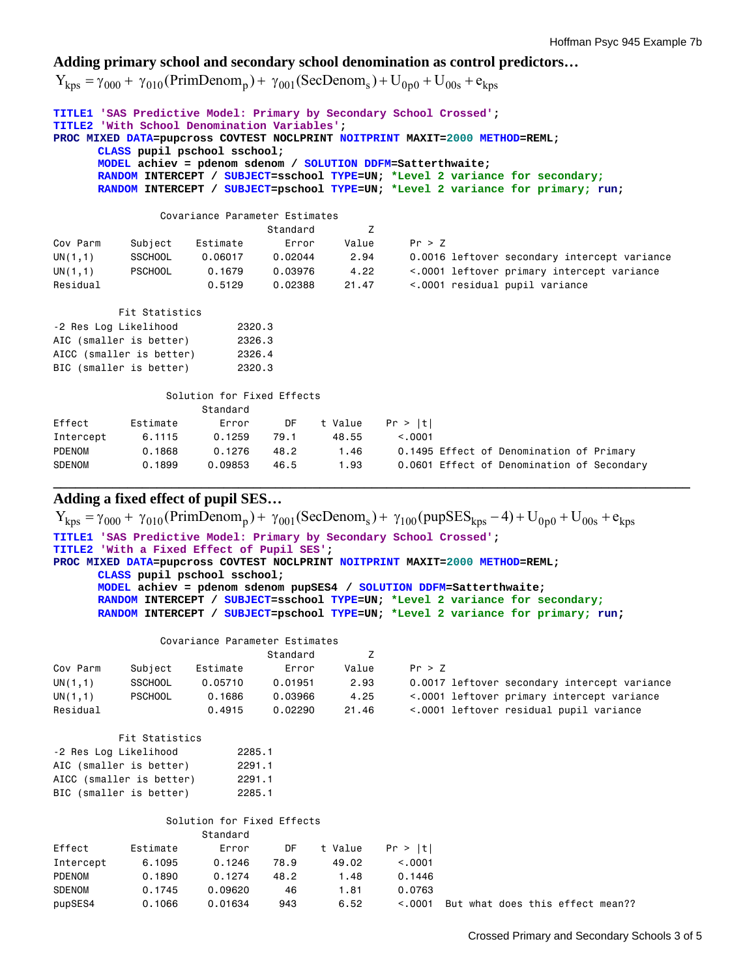# **Adding primary school and secondary school denomination as control predictors…**

 $Y_{kps} = \gamma_{000} + \gamma_{010} (PrimDenom_{p}) + \gamma_{001} (SecDenom_{s}) + U_{0p0} + U_{00s} + e_{kps}$ 

| TITLE1 'SAS Predictive Model: Primary by Secondary School Crossed';<br><b>TITLE2</b> 'With School Denomination Variables':<br>PROC MIXED DATA=pupcross COVTEST NOCLPRINT NOITPRINT MAXIT=2000 METHOD=REML;<br>CLASS pupil pschool sschool;<br>MODEL achiev = pdenom sdenom / SOLUTION DDFM=Satterthwaite;<br>RANDOM INTERCEPT / SUBJECT=sschool TYPE=UN; *Level 2 variance for secondary;<br>RANDOM INTERCEPT / SUBJECT=pschool TYPE=UN; *Level 2 variance for primary; run; |                         |                            |          |                |          |  |                                            |                                              |  |
|------------------------------------------------------------------------------------------------------------------------------------------------------------------------------------------------------------------------------------------------------------------------------------------------------------------------------------------------------------------------------------------------------------------------------------------------------------------------------|-------------------------|----------------------------|----------|----------------|----------|--|--------------------------------------------|----------------------------------------------|--|
| Covariance Parameter Estimates                                                                                                                                                                                                                                                                                                                                                                                                                                               |                         |                            |          |                |          |  |                                            |                                              |  |
|                                                                                                                                                                                                                                                                                                                                                                                                                                                                              |                         |                            | Standard | Z              |          |  |                                            |                                              |  |
| Cov Parm                                                                                                                                                                                                                                                                                                                                                                                                                                                                     | Subject                 | Estimate                   | Error    | Value          | Pr > Z   |  |                                            |                                              |  |
| UN(1,1)                                                                                                                                                                                                                                                                                                                                                                                                                                                                      | <b>SSCHOOL</b>          | 0.06017                    | 0.02044  | 2.94           |          |  |                                            | 0.0016 leftover secondary intercept variance |  |
| UN(1,1)                                                                                                                                                                                                                                                                                                                                                                                                                                                                      | <b>PSCHOOL</b>          | 0.1679                     |          | $0.03976$ 4.22 |          |  |                                            | <.0001 leftover primary intercept variance   |  |
| Residual                                                                                                                                                                                                                                                                                                                                                                                                                                                                     |                         | 0.5129                     | 0.02388  | 21.47          |          |  | <.0001 residual pupil variance             |                                              |  |
|                                                                                                                                                                                                                                                                                                                                                                                                                                                                              | Fit Statistics          |                            |          |                |          |  |                                            |                                              |  |
| -2 Res Log Likelihood                                                                                                                                                                                                                                                                                                                                                                                                                                                        |                         | 2320.3                     |          |                |          |  |                                            |                                              |  |
| AIC (smaller is better)                                                                                                                                                                                                                                                                                                                                                                                                                                                      |                         | 2326.3                     |          |                |          |  |                                            |                                              |  |
| AICC (smaller is better)                                                                                                                                                                                                                                                                                                                                                                                                                                                     |                         | 2326.4                     |          |                |          |  |                                            |                                              |  |
|                                                                                                                                                                                                                                                                                                                                                                                                                                                                              | BIC (smaller is better) | 2320.3                     |          |                |          |  |                                            |                                              |  |
|                                                                                                                                                                                                                                                                                                                                                                                                                                                                              |                         | Solution for Fixed Effects |          |                |          |  |                                            |                                              |  |
|                                                                                                                                                                                                                                                                                                                                                                                                                                                                              |                         | Standard                   |          |                |          |  |                                            |                                              |  |
| Effect                                                                                                                                                                                                                                                                                                                                                                                                                                                                       | Estimate                | Error                      | DF a     | t Value        | Pr >  t  |  |                                            |                                              |  |
| Intercept                                                                                                                                                                                                                                                                                                                                                                                                                                                                    | 6.1115                  | 0.1259  79.1               |          | 48.55          | < 0.0001 |  |                                            |                                              |  |
| PDENOM                                                                                                                                                                                                                                                                                                                                                                                                                                                                       | 0.1868                  | 0.1276                     | 48.2     | 1.46           |          |  | 0.1495 Effect of Denomination of Primary   |                                              |  |
| <b>SDENOM</b>                                                                                                                                                                                                                                                                                                                                                                                                                                                                | 0.1899                  | 0.09853                    | 46.5     | 1.93           |          |  | 0.0601 Effect of Denomination of Secondary |                                              |  |

**\_\_\_\_\_\_\_\_\_\_\_\_\_\_\_\_\_\_\_\_\_\_\_\_\_\_\_\_\_\_\_\_\_\_\_\_\_\_\_\_\_\_\_\_\_\_\_\_\_\_\_\_\_\_\_\_\_\_\_\_\_\_\_\_\_\_\_\_\_\_\_\_\_\_\_\_\_\_\_\_\_\_\_\_\_\_** 

# **Adding a fixed effect of pupil SES…**

| $Y_{kps} = \gamma_{000} + \gamma_{010}$ (PrimDenom <sub>p</sub> ) + $\gamma_{001}$ (SecDenom <sub>s</sub> ) + $\gamma_{100}$ (pupSES <sub>kps</sub> - 4) + U <sub>0p0</sub> + U <sub>00s</sub> + e <sub>kps</sub> |                                                                     |                                                                                 |          |         |         |  |  |                                              |  |  |
|-------------------------------------------------------------------------------------------------------------------------------------------------------------------------------------------------------------------|---------------------------------------------------------------------|---------------------------------------------------------------------------------|----------|---------|---------|--|--|----------------------------------------------|--|--|
|                                                                                                                                                                                                                   | TITLE1 'SAS Predictive Model: Primary by Secondary School Crossed'; |                                                                                 |          |         |         |  |  |                                              |  |  |
| TITLE2 'With a Fixed Effect of Pupil SES';                                                                                                                                                                        |                                                                     |                                                                                 |          |         |         |  |  |                                              |  |  |
|                                                                                                                                                                                                                   |                                                                     | PROC MIXED DATA=pupcross COVTEST NOCLPRINT NOITPRINT MAXIT=2000 METHOD=REML;    |          |         |         |  |  |                                              |  |  |
|                                                                                                                                                                                                                   | CLASS pupil pschool sschool;                                        |                                                                                 |          |         |         |  |  |                                              |  |  |
|                                                                                                                                                                                                                   |                                                                     | MODEL achiev = pdenom sdenom pupSES4 / SOLUTION DDFM=Satterthwaite;             |          |         |         |  |  |                                              |  |  |
|                                                                                                                                                                                                                   |                                                                     | RANDOM INTERCEPT / SUBJECT=sschool TYPE=UN; *Level 2 variance for secondary;    |          |         |         |  |  |                                              |  |  |
|                                                                                                                                                                                                                   |                                                                     | RANDOM INTERCEPT / SUBJECT=pschool TYPE=UN; *Level 2 variance for primary; run; |          |         |         |  |  |                                              |  |  |
| Covariance Parameter Estimates                                                                                                                                                                                    |                                                                     |                                                                                 |          |         |         |  |  |                                              |  |  |
|                                                                                                                                                                                                                   |                                                                     |                                                                                 | Standard | Z       |         |  |  |                                              |  |  |
| Cov Parm                                                                                                                                                                                                          | Subject                                                             | Estimate                                                                        | Error    | Value   | Pr > Z  |  |  |                                              |  |  |
| UN(1,1)                                                                                                                                                                                                           | <b>SSCHOOL</b>                                                      | 0.05710                                                                         | 0.01951  | 2.93    |         |  |  | 0.0017 leftover secondary intercept variance |  |  |
| UN(1,1)                                                                                                                                                                                                           | <b>PSCHOOL</b>                                                      | 0.1686                                                                          | 0.03966  | 4.25    |         |  |  | <.0001 leftover primary intercept variance   |  |  |
| Residual                                                                                                                                                                                                          |                                                                     | 0.4915                                                                          | 0.02290  | 21.46   |         |  |  | <.0001 leftover residual pupil variance      |  |  |
|                                                                                                                                                                                                                   | Fit Statistics                                                      |                                                                                 |          |         |         |  |  |                                              |  |  |
| -2 Res Log Likelihood                                                                                                                                                                                             |                                                                     | 2285.1                                                                          |          |         |         |  |  |                                              |  |  |
| AIC (smaller is better)                                                                                                                                                                                           |                                                                     | 2291.1                                                                          |          |         |         |  |  |                                              |  |  |
| AICC (smaller is better)                                                                                                                                                                                          |                                                                     | 2291.1                                                                          |          |         |         |  |  |                                              |  |  |
| BIC (smaller is better)                                                                                                                                                                                           |                                                                     | 2285.1                                                                          |          |         |         |  |  |                                              |  |  |
|                                                                                                                                                                                                                   |                                                                     |                                                                                 |          |         |         |  |  |                                              |  |  |
|                                                                                                                                                                                                                   |                                                                     | Solution for Fixed Effects                                                      |          |         |         |  |  |                                              |  |  |
|                                                                                                                                                                                                                   |                                                                     | Standard                                                                        |          |         |         |  |  |                                              |  |  |
| Effect                                                                                                                                                                                                            | Estimate                                                            | Error                                                                           | DF.      | t Value | Pr >  t |  |  |                                              |  |  |
| Intercept                                                                                                                                                                                                         | 6,1095                                                              | 0.1246                                                                          | 78.9     | 49.02   | < 0.001 |  |  |                                              |  |  |
| <b>PDENOM</b>                                                                                                                                                                                                     | 0.1890                                                              | 0.1274                                                                          | 48.2     | 1.48    | 0.1446  |  |  |                                              |  |  |
| <b>SDENOM</b>                                                                                                                                                                                                     | 0.1745                                                              | 0.09620                                                                         | 46       | 1.81    | 0.0763  |  |  |                                              |  |  |
| pupSES4                                                                                                                                                                                                           | 0.1066                                                              | 0.01634                                                                         | 943      | 6.52    | < 0.001 |  |  | But what does this effect mean??             |  |  |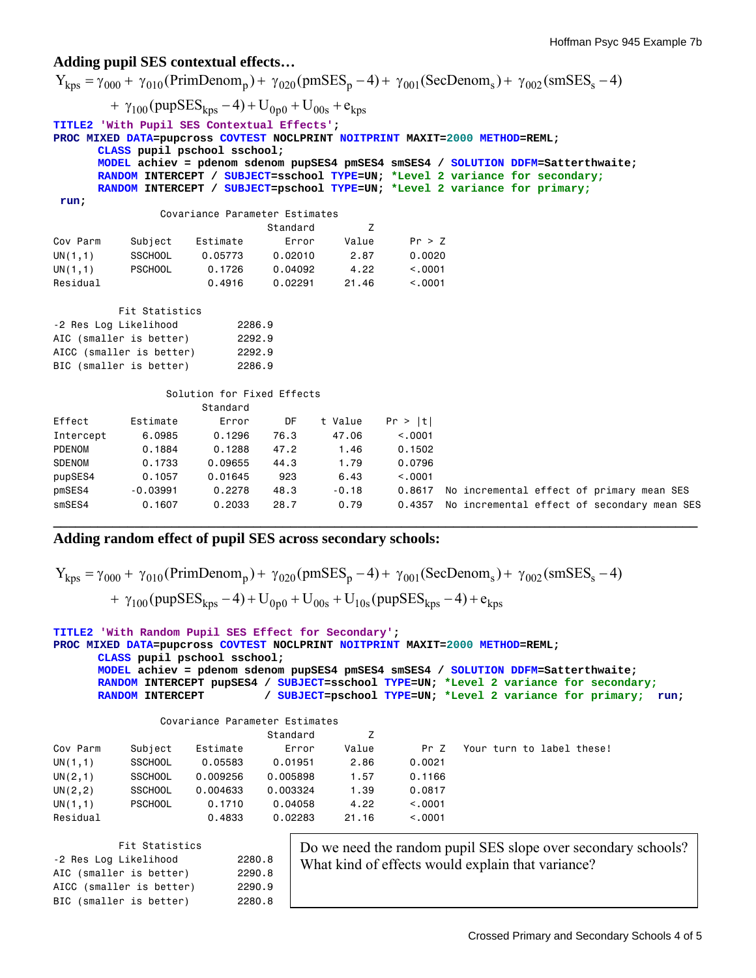#### **Adding pupil SES contextual effects…**

 $Y_{kps} = \gamma_{000} + \gamma_{010}$ (PrimDenom<sub>p</sub>) +  $\gamma_{020}$ (pmSES<sub>p</sub> - 4) +  $\gamma_{001}$ (SecDenom<sub>s</sub>) +  $\gamma_{002}$ (smSES<sub>s</sub> - 4) +  $\gamma_{100}$  (pupSES<sub>kps</sub> - 4) + U<sub>0p0</sub> + U<sub>00s</sub> + e<sub>kps</sub> **TITLE2 'With Pupil SES Contextual Effects'; PROC MIXED DATA=pupcross COVTEST NOCLPRINT NOITPRINT MAXIT=2000 METHOD=REML; CLASS pupil pschool sschool; MODEL achiev = pdenom sdenom pupSES4 pmSES4 smSES4 / SOLUTION DDFM=Satterthwaite; RANDOM INTERCEPT / SUBJECT=sschool TYPE=UN; \*Level 2 variance for secondary; RANDOM INTERCEPT / SUBJECT=pschool TYPE=UN; \*Level 2 variance for primary; run;** Covariance Parameter Estimates Standard Z Cov Parm Subject Estimate Error Value Pr > Z UN(1,1) SSCHOOL 0.05773 0.02010 2.87 0.0020 UN(1,1) PSCHOOL 0.1726 0.04092 4.22 <.0001 Residual 0.4916 0.02291 21.46 <.0001 Fit Statistics -2 Res Log Likelihood 2286.9 AIC (smaller is better) 2292.9 AICC (smaller is better) 2292.9 BIC (smaller is better) 2286.9 Solution for Fixed Effects Standard Effect Estimate Error DF t Value Pr > |t| Intercept 6.0985 0.1296 76.3 47.06 <.0001 PDENOM 0.1884 0.1288 47.2 1.46 0.1502<br>SDENOM 0.1733 0.09655 44.3 1.79 0.0796 SDENOM 0.1733 0.09655 44.3 1.79 0.0796 pupSES4 0.1057 0.01645 923 6.43 <.0001 pmSES4 -0.03991 0.2278 48.3 -0.18 0.8617 No incremental effect of primary mean SES smSES4 0.1607 0.2033 28.7 0.79 0.4357 No incremental effect of secondary mean SES **\_\_\_\_\_\_\_\_\_\_\_\_\_\_\_\_\_\_\_\_\_\_\_\_\_\_\_\_\_\_\_\_\_\_\_\_\_\_\_\_\_\_\_\_\_\_\_\_\_\_\_\_\_\_\_\_\_\_\_\_\_\_\_\_\_\_\_\_\_\_\_\_\_\_\_\_\_\_\_\_\_\_\_\_\_\_\_** 

## **Adding random effect of pupil SES across secondary schools:**

| $Y_{kps} = \gamma_{000} + \gamma_{010}$ (PrimDenom <sub>p</sub> ) + $\gamma_{020}$ (pmSES <sub>p</sub> - 4) + $\gamma_{001}$ (SecDenom <sub>s</sub> ) + $\gamma_{002}$ (smSES <sub>s</sub> - 4) |  |
|-------------------------------------------------------------------------------------------------------------------------------------------------------------------------------------------------|--|
| + $\gamma_{100}$ (pupSES <sub>kps</sub> - 4) + U <sub>0p0</sub> + U <sub>00s</sub> + U <sub>10s</sub> (pupSES <sub>kps</sub> - 4) + e <sub>kps</sub>                                            |  |

```
TITLE2 'With Random Pupil SES Effect for Secondary'; 
PROC MIXED DATA=pupcross COVTEST NOCLPRINT NOITPRINT MAXIT=2000 METHOD=REML; 
      CLASS pupil pschool sschool; 
      MODEL achiev = pdenom sdenom pupSES4 pmSES4 smSES4 / SOLUTION DDFM=Satterthwaite; 
      RANDOM INTERCEPT pupSES4 / SUBJECT=sschool TYPE=UN; *Level 2 variance for secondary; 
      RANDOM INTERCEPT / SUBJECT=pschool TYPE=UN; *Level 2 variance for primary; run; 
                Covariance Parameter Estimates 
extended the Standard Standard Standard Z
```

|             |                |          | standard |       |         |                           |
|-------------|----------------|----------|----------|-------|---------|---------------------------|
| Cov Parm    | Subject        | Estimate | Error    | Value | Pr Z    | Your turn to label these! |
| UN(1,1)     | <b>SSCHOOL</b> | 0.05583  | 0.01951  | 2.86  | 0.0021  |                           |
| UN $(2,1)$  | <b>SSCHOOL</b> | 0.009256 | 0.005898 | 1.57  | 0.1166  |                           |
| UN $(2, 2)$ | <b>SSCHOOL</b> | 0.004633 | 0.003324 | 1.39  | 0.0817  |                           |
| UN(1,1)     | <b>PSCHOOL</b> | 0.1710   | 0.04058  | 4.22  | < 0.001 |                           |
| Residual    |                | 0.4833   | 0.02283  | 21.16 | < 0.001 |                           |

| Fit Statistics           |        |
|--------------------------|--------|
| -2 Res Log Likelihood    | 2280.8 |
| AIC (smaller is better)  | 2290.8 |
| AICC (smaller is better) | 2290.9 |
| BIC (smaller is better)  | 2280.8 |

Do we need the random pupil SES slope over secondary schools? What kind of effects would explain that variance?